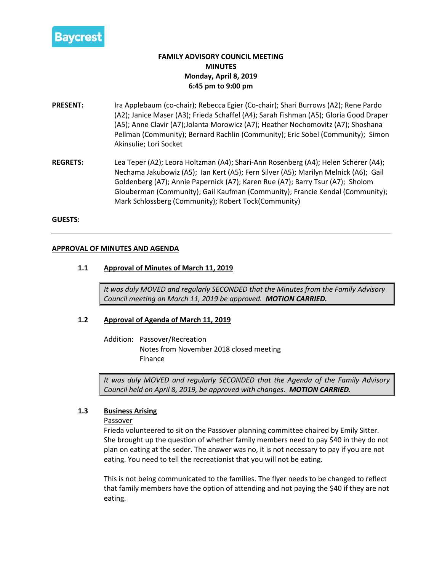

# **FAMILY ADVISORY COUNCIL MEETING MINUTES Monday, April 8, 2019 6:45 pm to 9:00 pm**

- **PRESENT:** Ira Applebaum (co-chair); Rebecca Egier (Co-chair); Shari Burrows (A2); Rene Pardo (A2); Janice Maser (A3); Frieda Schaffel (A4); Sarah Fishman (A5); Gloria Good Draper (A5); Anne Clavir (A7);Jolanta Morowicz (A7); Heather Nochomovitz (A7); Shoshana Pellman (Community); Bernard Rachlin (Community); Eric Sobel (Community); Simon Akinsulie; Lori Socket
- **REGRETS:** Lea Teper (A2); Leora Holtzman (A4); Shari-Ann Rosenberg (A4); Helen Scherer (A4); Nechama Jakubowiz (A5); Ian Kert (A5); Fern Silver (A5); Marilyn Melnick (A6); Gail Goldenberg (A7); Annie Papernick (A7); Karen Rue (A7); Barry Tsur (A7); Sholom Glouberman (Community); Gail Kaufman (Community); Francie Kendal (Community); Mark Schlossberg (Community); Robert Tock(Community)

#### **GUESTS:**

#### **APPROVAL OF MINUTES AND AGENDA**

#### **1.1 Approval of Minutes of March 11, 2019**

*It was duly MOVED and regularly SECONDED that the Minutes from the Family Advisory Council meeting on March 11, 2019 be approved. MOTION CARRIED.*

#### **1.2 Approval of Agenda of March 11, 2019**

Addition: Passover/Recreation Notes from November 2018 closed meeting Finance

*It was duly MOVED and regularly SECONDED that the Agenda of the Family Advisory Council held on April 8, 2019, be approved with changes. MOTION CARRIED.*

#### **1.3 Business Arising**

#### Passover

Frieda volunteered to sit on the Passover planning committee chaired by Emily Sitter. She brought up the question of whether family members need to pay \$40 in they do not plan on eating at the seder. The answer was no, it is not necessary to pay if you are not eating. You need to tell the recreationist that you will not be eating.

This is not being communicated to the families. The flyer needs to be changed to reflect that family members have the option of attending and not paying the \$40 if they are not eating.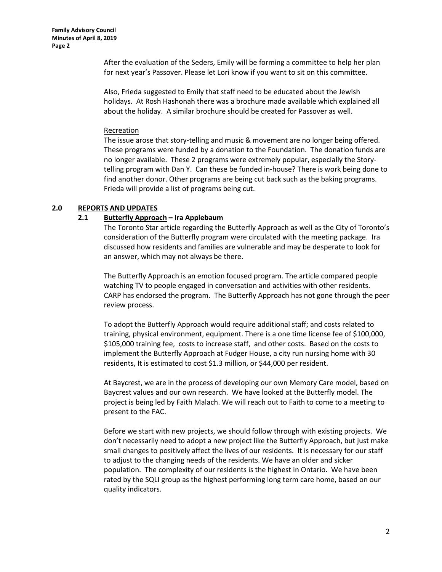**Family Advisory Council Minutes of April 8, 2019 Page 2**

> After the evaluation of the Seders, Emily will be forming a committee to help her plan for next year's Passover. Please let Lori know if you want to sit on this committee.

> Also, Frieda suggested to Emily that staff need to be educated about the Jewish holidays. At Rosh Hashonah there was a brochure made available which explained all about the holiday. A similar brochure should be created for Passover as well.

#### Recreation

The issue arose that story-telling and music & movement are no longer being offered. These programs were funded by a donation to the Foundation. The donation funds are no longer available. These 2 programs were extremely popular, especially the Storytelling program with Dan Y. Can these be funded in-house? There is work being done to find another donor. Other programs are being cut back such as the baking programs. Frieda will provide a list of programs being cut.

## **2.0 REPORTS AND UPDATES**

## **2.1 Butterfly Approach – Ira Applebaum**

The Toronto Star article regarding the Butterfly Approach as well as the City of Toronto's consideration of the Butterfly program were circulated with the meeting package. Ira discussed how residents and families are vulnerable and may be desperate to look for an answer, which may not always be there.

The Butterfly Approach is an emotion focused program. The article compared people watching TV to people engaged in conversation and activities with other residents. CARP has endorsed the program. The Butterfly Approach has not gone through the peer review process.

To adopt the Butterfly Approach would require additional staff; and costs related to training, physical environment, equipment. There is a one time license fee of \$100,000, \$105,000 training fee, costs to increase staff, and other costs. Based on the costs to implement the Butterfly Approach at Fudger House, a city run nursing home with 30 residents, It is estimated to cost \$1.3 million, or \$44,000 per resident.

At Baycrest, we are in the process of developing our own Memory Care model, based on Baycrest values and our own research. We have looked at the Butterfly model. The project is being led by Faith Malach. We will reach out to Faith to come to a meeting to present to the FAC.

Before we start with new projects, we should follow through with existing projects. We don't necessarily need to adopt a new project like the Butterfly Approach, but just make small changes to positively affect the lives of our residents. It is necessary for our staff to adjust to the changing needs of the residents. We have an older and sicker population. The complexity of our residents is the highest in Ontario. We have been rated by the SQLI group as the highest performing long term care home, based on our quality indicators.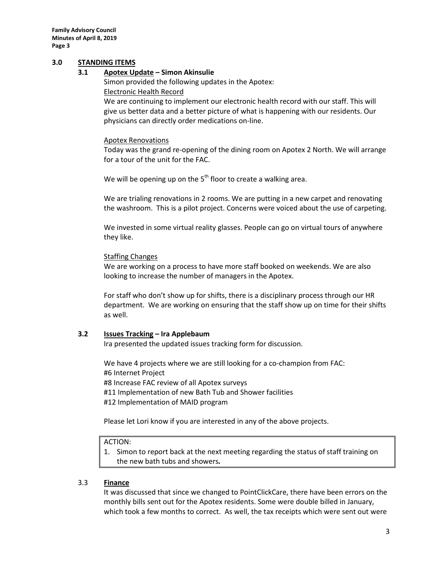**Family Advisory Council Minutes of April 8, 2019 Page 3**

## **3.0 STANDING ITEMS**

#### **3.1 Apotex Update – Simon Akinsulie**

Simon provided the following updates in the Apotex: Electronic Health Record We are continuing to implement our electronic health record with our staff. This will give us better data and a better picture of what is happening with our residents. Our

physicians can directly order medications on-line.

## Apotex Renovations

Today was the grand re-opening of the dining room on Apotex 2 North. We will arrange for a tour of the unit for the FAC.

We will be opening up on the  $5<sup>th</sup>$  floor to create a walking area.

We are trialing renovations in 2 rooms. We are putting in a new carpet and renovating the washroom. This is a pilot project. Concerns were voiced about the use of carpeting.

We invested in some virtual reality glasses. People can go on virtual tours of anywhere they like.

#### Staffing Changes

We are working on a process to have more staff booked on weekends. We are also looking to increase the number of managers in the Apotex.

For staff who don't show up for shifts, there is a disciplinary process through our HR department. We are working on ensuring that the staff show up on time for their shifts as well.

#### **3.2 Issues Tracking – Ira Applebaum**

Ira presented the updated issues tracking form for discussion.

We have 4 projects where we are still looking for a co-champion from FAC: #6 Internet Project #8 Increase FAC review of all Apotex surveys #11 Implementation of new Bath Tub and Shower facilities #12 Implementation of MAID program

Please let Lori know if you are interested in any of the above projects.

#### ACTION:

1. Simon to report back at the next meeting regarding the status of staff training on the new bath tubs and showers*.*

#### 3.3 **Finance**

It was discussed that since we changed to PointClickCare, there have been errors on the monthly bills sent out for the Apotex residents. Some were double billed in January, which took a few months to correct. As well, the tax receipts which were sent out were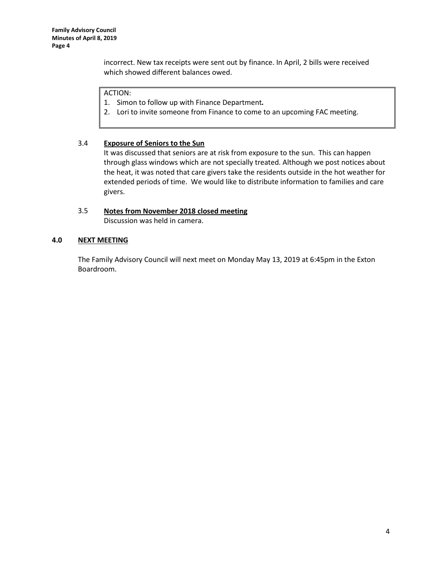incorrect. New tax receipts were sent out by finance. In April, 2 bills were received which showed different balances owed.

## ACTION:

1. Simon to follow up with Finance Department*.*

2. Lori to invite someone from Finance to come to an upcoming FAC meeting.

## 3.4 **Exposure of Seniors to the Sun**

It was discussed that seniors are at risk from exposure to the sun. This can happen through glass windows which are not specially treated. Although we post notices about the heat, it was noted that care givers take the residents outside in the hot weather for extended periods of time. We would like to distribute information to families and care givers.

# 3.5 **Notes from November 2018 closed meeting**

Discussion was held in camera.

## **4.0 NEXT MEETING**

The Family Advisory Council will next meet on Monday May 13, 2019 at 6:45pm in the Exton Boardroom.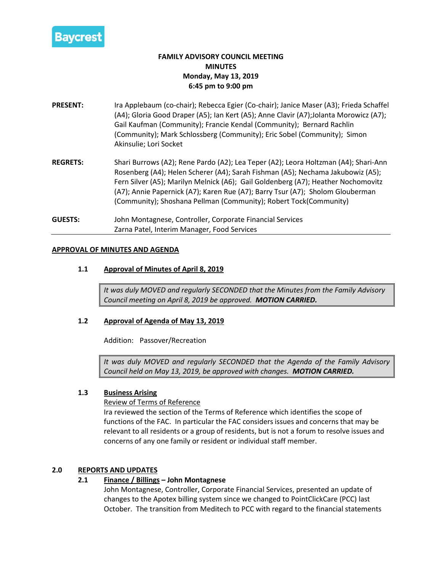

# **FAMILY ADVISORY COUNCIL MEETING MINUTES Monday, May 13, 2019 6:45 pm to 9:00 pm**

- **PRESENT:** Ira Applebaum (co-chair); Rebecca Egier (Co-chair); Janice Maser (A3); Frieda Schaffel (A4); Gloria Good Draper (A5); Ian Kert (A5); Anne Clavir (A7); Jolanta Morowicz (A7); Gail Kaufman (Community); Francie Kendal (Community); Bernard Rachlin (Community); Mark Schlossberg (Community); Eric Sobel (Community); Simon Akinsulie; Lori Socket
- **REGRETS:** Shari Burrows (A2); Rene Pardo (A2); Lea Teper (A2); Leora Holtzman (A4); Shari-Ann Rosenberg (A4); Helen Scherer (A4); Sarah Fishman (A5); Nechama Jakubowiz (A5); Fern Silver (A5); Marilyn Melnick (A6); Gail Goldenberg (A7); Heather Nochomovitz (A7); Annie Papernick (A7); Karen Rue (A7); Barry Tsur (A7); Sholom Glouberman (Community); Shoshana Pellman (Community); Robert Tock(Community)
- **GUESTS:** John Montagnese, Controller, Corporate Financial Services Zarna Patel, Interim Manager, Food Services

## **APPROVAL OF MINUTES AND AGENDA**

## **1.1 Approval of Minutes of April 8, 2019**

*It was duly MOVED and regularly SECONDED that the Minutes from the Family Advisory Council meeting on April 8, 2019 be approved. MOTION CARRIED.*

## **1.2 Approval of Agenda of May 13, 2019**

Addition: Passover/Recreation

*It was duly MOVED and regularly SECONDED that the Agenda of the Family Advisory Council held on May 13, 2019, be approved with changes. MOTION CARRIED.*

## **1.3 Business Arising**

Review of Terms of Reference

Ira reviewed the section of the Terms of Reference which identifies the scope of functions of the FAC. In particular the FAC considers issues and concerns that may be relevant to all residents or a group of residents, but is not a forum to resolve issues and concerns of any one family or resident or individual staff member.

#### **2.0 REPORTS AND UPDATES**

## **2.1 Finance / Billings – John Montagnese**

John Montagnese, Controller, Corporate Financial Services, presented an update of changes to the Apotex billing system since we changed to PointClickCare (PCC) last October. The transition from Meditech to PCC with regard to the financial statements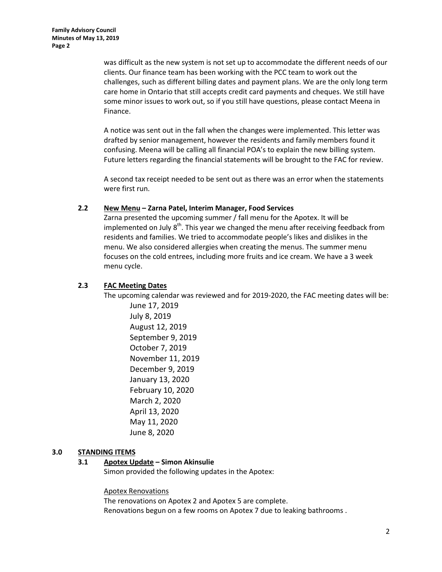was difficult as the new system is not set up to accommodate the different needs of our clients. Our finance team has been working with the PCC team to work out the challenges, such as different billing dates and payment plans. We are the only long term care home in Ontario that still accepts credit card payments and cheques. We still have some minor issues to work out, so if you still have questions, please contact Meena in Finance.

A notice was sent out in the fall when the changes were implemented. This letter was drafted by senior management, however the residents and family members found it confusing. Meena will be calling all financial POA's to explain the new billing system. Future letters regarding the financial statements will be brought to the FAC for review.

A second tax receipt needed to be sent out as there was an error when the statements were first run.

## **2.2 New Menu – Zarna Patel, Interim Manager, Food Services**

Zarna presented the upcoming summer / fall menu for the Apotex. It will be implemented on July  $8<sup>th</sup>$ . This year we changed the menu after receiving feedback from residents and families. We tried to accommodate people's likes and dislikes in the menu. We also considered allergies when creating the menus. The summer menu focuses on the cold entrees, including more fruits and ice cream. We have a 3 week menu cycle.

## **2.3 FAC Meeting Dates**

The upcoming calendar was reviewed and for 2019-2020, the FAC meeting dates will be:

June 17, 2019 July 8, 2019 August 12, 2019 September 9, 2019 October 7, 2019 November 11, 2019 December 9, 2019 January 13, 2020 February 10, 2020 March 2, 2020 April 13, 2020 May 11, 2020 June 8, 2020

## **3.0 STANDING ITEMS**

#### **3.1 Apotex Update – Simon Akinsulie**

Simon provided the following updates in the Apotex:

Apotex Renovations

The renovations on Apotex 2 and Apotex 5 are complete. Renovations begun on a few rooms on Apotex 7 due to leaking bathrooms .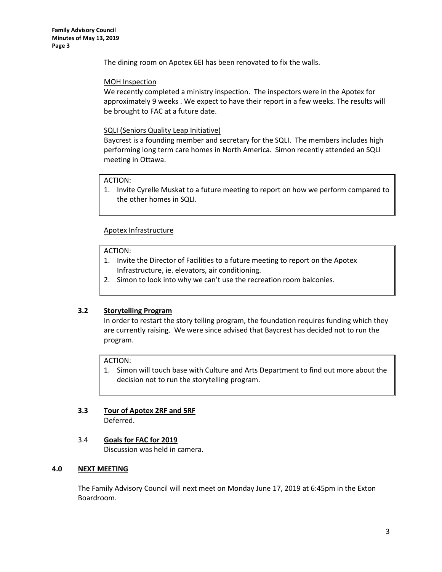**Family Advisory Council Minutes of May 13, 2019 Page 3**

The dining room on Apotex 6EI has been renovated to fix the walls.

## MOH Inspection

We recently completed a ministry inspection. The inspectors were in the Apotex for approximately 9 weeks . We expect to have their report in a few weeks. The results will be brought to FAC at a future date.

## SQLI (Seniors Quality Leap Initiative)

Baycrest is a founding member and secretary for the SQLI. The members includes high performing long term care homes in North America. Simon recently attended an SQLI meeting in Ottawa.

## ACTION:

1. Invite Cyrelle Muskat to a future meeting to report on how we perform compared to the other homes in SQLI.

## Apotex Infrastructure

#### ACTION:

- 1. Invite the Director of Facilities to a future meeting to report on the Apotex Infrastructure, ie. elevators, air conditioning.
- 2. Simon to look into why we can't use the recreation room balconies.

## **3.2 Storytelling Program**

In order to restart the story telling program, the foundation requires funding which they are currently raising. We were since advised that Baycrest has decided not to run the program.

#### ACTION:

1. Simon will touch base with Culture and Arts Department to find out more about the decision not to run the storytelling program.

#### **3.3 Tour of Apotex 2RF and 5RF** Deferred.

# 3.4 **Goals for FAC for 2019**

Discussion was held in camera.

## **4.0 NEXT MEETING**

The Family Advisory Council will next meet on Monday June 17, 2019 at 6:45pm in the Exton Boardroom.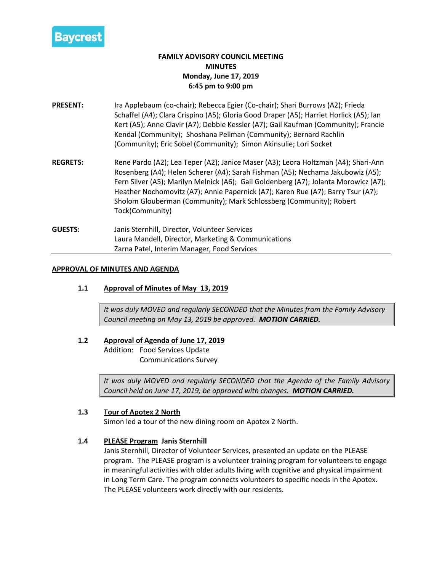

# **FAMILY ADVISORY COUNCIL MEETING MINUTES Monday, June 17, 2019 6:45 pm to 9:00 pm**

- **PRESENT:** Ira Applebaum (co-chair); Rebecca Egier (Co-chair); Shari Burrows (A2); Frieda Schaffel (A4); Clara Crispino (A5); Gloria Good Draper (A5); Harriet Horlick (A5); Ian Kert (A5); Anne Clavir (A7); Debbie Kessler (A7); Gail Kaufman (Community); Francie Kendal (Community); Shoshana Pellman (Community); Bernard Rachlin (Community); Eric Sobel (Community); Simon Akinsulie; Lori Socket
- **REGRETS:** Rene Pardo (A2); Lea Teper (A2); Janice Maser (A3); Leora Holtzman (A4); Shari-Ann Rosenberg (A4); Helen Scherer (A4); Sarah Fishman (A5); Nechama Jakubowiz (A5); Fern Silver (A5); Marilyn Melnick (A6); Gail Goldenberg (A7); Jolanta Morowicz (A7); Heather Nochomovitz (A7); Annie Papernick (A7); Karen Rue (A7); Barry Tsur (A7); Sholom Glouberman (Community); Mark Schlossberg (Community); Robert Tock(Community)
- **GUESTS:** Janis Sternhill, Director, Volunteer Services Laura Mandell, Director, Marketing & Communications Zarna Patel, Interim Manager, Food Services

## **APPROVAL OF MINUTES AND AGENDA**

**1.1 Approval of Minutes of May 13, 2019**

*It was duly MOVED and regularly SECONDED that the Minutes from the Family Advisory Council meeting on May 13, 2019 be approved. MOTION CARRIED.*

## **1.2 Approval of Agenda of June 17, 2019**

Addition: Food Services Update Communications Survey

*It was duly MOVED and regularly SECONDED that the Agenda of the Family Advisory Council held on June 17, 2019, be approved with changes. MOTION CARRIED.*

## **1.3 Tour of Apotex 2 North**

Simon led a tour of the new dining room on Apotex 2 North.

## **1.4 PLEASE Program Janis Sternhill**

Janis Sternhill, Director of Volunteer Services, presented an update on the PLEASE program. The PLEASE program is a volunteer training program for volunteers to engage in meaningful activities with older adults living with cognitive and physical impairment in Long Term Care. The program connects volunteers to specific needs in the Apotex. The PLEASE volunteers work directly with our residents.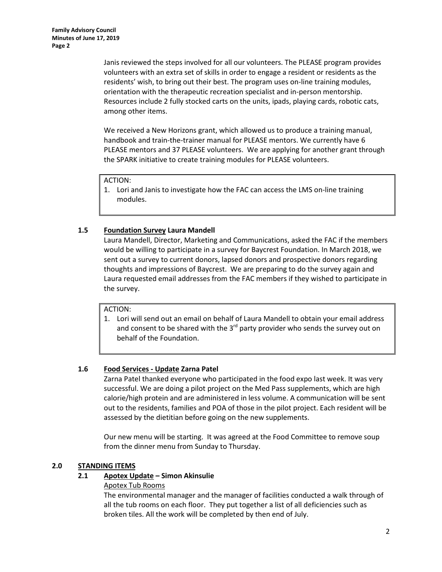Janis reviewed the steps involved for all our volunteers. The PLEASE program provides volunteers with an extra set of skills in order to engage a resident or residents as the residents' wish, to bring out their best. The program uses on-line training modules, orientation with the therapeutic recreation specialist and in-person mentorship. Resources include 2 fully stocked carts on the units, ipads, playing cards, robotic cats, among other items.

We received a New Horizons grant, which allowed us to produce a training manual, handbook and train-the-trainer manual for PLEASE mentors. We currently have 6 PLEASE mentors and 37 PLEASE volunteers. We are applying for another grant through the SPARK initiative to create training modules for PLEASE volunteers.

## ACTION:

1. Lori and Janis to investigate how the FAC can access the LMS on-line training modules.

## **1.5 Foundation Survey Laura Mandell**

Laura Mandell, Director, Marketing and Communications, asked the FAC if the members would be willing to participate in a survey for Baycrest Foundation. In March 2018, we sent out a survey to current donors, lapsed donors and prospective donors regarding thoughts and impressions of Baycrest. We are preparing to do the survey again and Laura requested email addresses from the FAC members if they wished to participate in the survey.

## ACTION:

1. Lori will send out an email on behalf of Laura Mandell to obtain your email address and consent to be shared with the  $3<sup>rd</sup>$  party provider who sends the survey out on behalf of the Foundation.

## **1.6 Food Services - Update Zarna Patel**

Zarna Patel thanked everyone who participated in the food expo last week. It was very successful. We are doing a pilot project on the Med Pass supplements, which are high calorie/high protein and are administered in less volume. A communication will be sent out to the residents, families and POA of those in the pilot project. Each resident will be assessed by the dietitian before going on the new supplements.

Our new menu will be starting. It was agreed at the Food Committee to remove soup from the dinner menu from Sunday to Thursday.

## **2.0 STANDING ITEMS**

## **2.1 Apotex Update – Simon Akinsulie**

## Apotex Tub Rooms

The environmental manager and the manager of facilities conducted a walk through of all the tub rooms on each floor. They put together a list of all deficiencies such as broken tiles. All the work will be completed by then end of July.